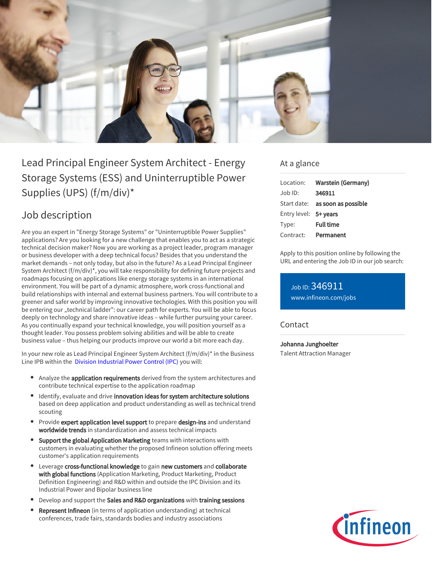

Lead Principal Engineer System Architect - Energy Storage Systems (ESS) and Uninterruptible Power Supplies (UPS) (f/m/div)\*

# Job description

Are you an expert in "Energy Storage Systems" or "Uninterruptible Power Supplies" applications? Are you looking for a new challenge that enables you to act as a strategic technical decision maker? Now you are working as a project leader, program manager or business developer with a deep technical focus? Besides that you understand the market demands – not only today, but also in the future? As a Lead Principal Engineer System Architect (f/m/div)\*, you will take responsibility for defining future projects and roadmaps focusing on applications like energy storage systems in an international environment. You will be part of a dynamic atmosphere, work cross-functional and build relationships with internal and external business partners. You will contribute to a greener and safer world by improving innovative techologies. With this position you will be entering our "technical ladder": our career path for experts. You will be able to focus deeply on technology and share innovative ideas – while further pursuing your career. As you continually expand your technical knowledge, you will position yourself as a thought leader. You possess problem solving abilities and will be able to create business value – thus helping our products improve our world a bit more each day.

In your new role as Lead Principal Engineer System Architect (f/m/div)\* in the Business Line IPB within the  [Division Industrial Power Control \(IPC\)](https://www.infineon.com/cms/en/careers/working-at-infineon/ipcdreamjob/?redirId=136542) you will:

- Analyze the **application requirements** derived from the system architectures and contribute technical expertise to the application roadmap
- Identify, evaluate and drive innovation ideas for system architecture solutions based on deep application and product understanding as well as technical trend scouting
- Provide expert application level support to prepare design-ins and understand worldwide trends in standardization and assess technical impacts
- Support the global Application Marketing teams with interactions with customers in evaluating whether the proposed Infineon solution offering meets customer's application requirements
- Leverage cross-functional knowledge to gain new customers and collaborate with global functions (Application Marketing, Product Marketing, Product Definition Engineering) and R&D within and outside the IPC Division and its Industrial Power and Bipolar business line
- Develop and support the Sales and R&D organizations with training sessions
- Represent Infineon (in terms of application understanding) at technical conferences, trade fairs, standards bodies and industry associations

### At a glance

| Location:             | <b>Warstein (Germany)</b>              |
|-----------------------|----------------------------------------|
| $Joh$ ID:             | 346911                                 |
|                       | Start date: <b>as soon as possible</b> |
| Entry level: 5+ years |                                        |
| Type:                 | <b>Full time</b>                       |
| Contract:             | Permanent                              |

Apply to this position online by following the URL and entering the Job ID in our job search:

Job ID: 346911 [www.infineon.com/jobs](https://www.infineon.com/jobs)

#### **Contact**

Johanna Junghoelter Talent Attraction Manager